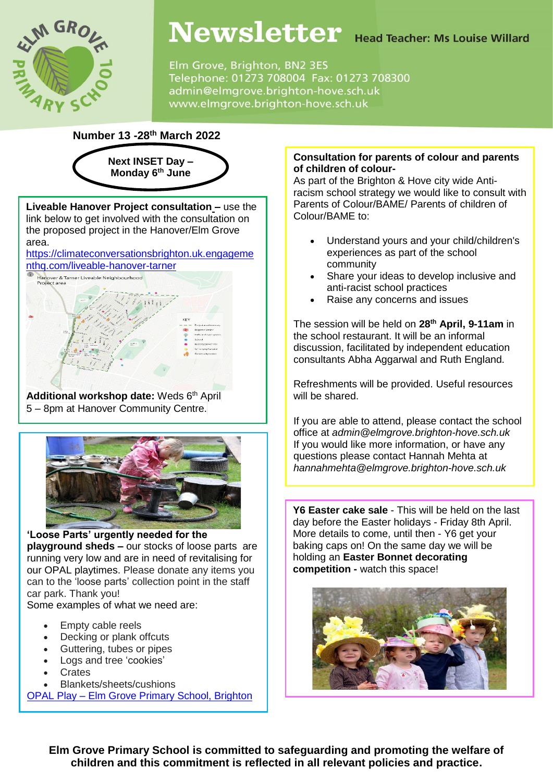

# Newsletter Head Teacher: Ms Louise Willard

Elm Grove, Brighton, BN2 3ES Telephone: 01273 708004 Fax: 01273 708300 admin@elmgrove.brighton-hove.sch.uk www.elmgrove.brighton-hove.sch.uk

**Number 13 -28th March 2022**



**Liveable Hanover Project consultation –** use the link below to get involved with the consultation on the proposed project in the Hanover/Elm Grove area.

[https://climateconversationsbrighton.uk.engageme](https://climateconversationsbrighton.uk.engagementhq.com/liveable-hanover-tarner) [nthq.com/liveable-hanover-tarner](https://climateconversationsbrighton.uk.engagementhq.com/liveable-hanover-tarner)



**Additional workshop date:** Weds 6 th April 5 – 8pm at Hanover Community Centre.



#### **'Loose Parts' urgently needed for the playground sheds –** our stocks of loose parts are running very low and are in need of revitalising for our OPAL playtimes. Please donate any items you can to the 'loose parts' collection point in the staff car park. Thank you!

Some examples of what we need are:

- Empty cable reels
- Decking or plank offcuts
- Guttering, tubes or pipes
- Logs and tree 'cookies'
- **Crates**
- Blankets/sheets/cushions

OPAL Play – [Elm Grove Primary School, Brighton](https://www.elmgrove.brighton-hove.sch.uk/opal-play/)

# **Consultation for parents of colour and parents of children of colour-**

As part of the Brighton & Hove city wide Antiracism school strategy we would like to consult with Parents of Colour/BAME/ Parents of children of Colour/BAME to:

- Understand yours and your child/children's experiences as part of the school community
- Share your ideas to develop inclusive and anti-racist school practices
- Raise any concerns and issues

The session will be held on **28th April, 9-11am** in the school restaurant. It will be an informal discussion, facilitated by independent education consultants Abha Aggarwal and Ruth England.

Refreshments will be provided. Useful resources will be shared.

If you are able to attend, please contact the school office at *admin@elmgrove.brighton-hove.sch.uk* If you would like more information, or have any questions please contact Hannah Mehta at *hannahmehta@elmgrove.brighton-hove.sch.uk*

**Y6 Easter cake sale** - This will be held on the last day before the Easter holidays - Friday 8th April. More details to come, until then - Y6 get your baking caps on! On the same day we will be holding an **Easter Bonnet decorating competition -** watch this space!



**Elm Grove Primary School is committed to safeguarding and promoting the welfare of children and this commitment is reflected in all relevant policies and practice.**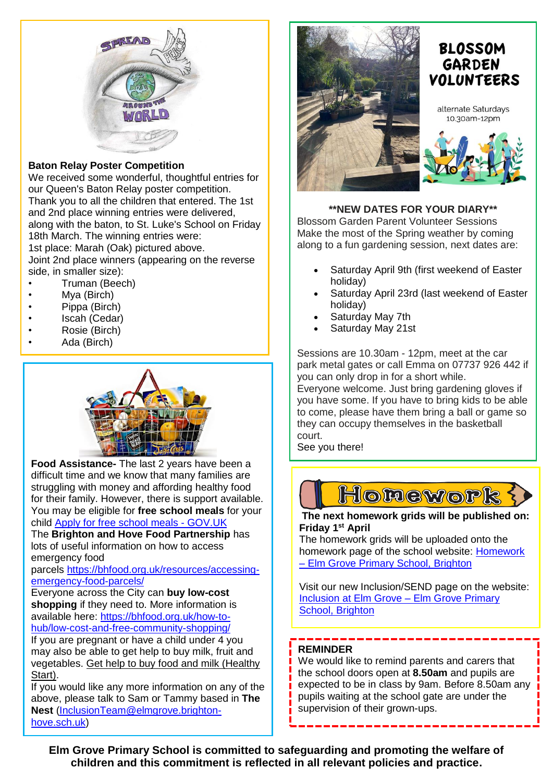

# **Baton Relay Poster Competition**

We received some wonderful, thoughtful entries for our Queen's Baton Relay poster competition. Thank you to all the children that entered. The 1st and 2nd place winning entries were delivered, along with the baton, to St. Luke's School on Friday 18th March. The winning entries were:

1st place: Marah (Oak) pictured above. Joint 2nd place winners (appearing on the reverse side, in smaller size):

- Truman (Beech)
- Mya (Birch)
- Pippa (Birch)
- Iscah (Cedar)
- Rosie (Birch)
- Ada (Birch)



**Food Assistance-** The last 2 years have been a difficult time and we know that many families are struggling with money and affording healthy food for their family. However, there is support available. You may be eligible for **free school meals** for your child Apply for free school meals - [GOV.UK](https://www.brighton-hove.gov.uk/schools-and-learning/free-school-meals)

The **Brighton and Hove Food Partnership** has lots of useful information on how to access emergency food

parcels [https://bhfood.org.uk/resources/accessing](https://bhfood.org.uk/resources/accessing-emergency-food-parcels/)[emergency-food-parcels/](https://bhfood.org.uk/resources/accessing-emergency-food-parcels/)

Everyone across the City can **buy low-cost shopping** if they need to. More information is available here: [https://bhfood.org.uk/how-to](https://bhfood.org.uk/how-to-hub/low-cost-and-free-community-shopping/)[hub/low-cost-and-free-community-shopping/](https://bhfood.org.uk/how-to-hub/low-cost-and-free-community-shopping/)

If you are pregnant or have a child under 4 you may also be able to get help to buy milk, fruit and vegetables. Get help to buy food and milk [\(Healthy](https://www.healthystart.nhs.uk/) [Start\).](https://www.healthystart.nhs.uk/)

If you would like any more information on any of the above, please talk to Sam or Tammy based in **The Nest** [\(InclusionTeam@elmgrove.brighton](mailto:InclusionTeam@elmgrove.brighton-hove.sch.uk)[hove.sch.uk\)](mailto:InclusionTeam@elmgrove.brighton-hove.sch.uk)





alternate Saturdays 10.30am-12pm



# **\*\*NEW DATES FOR YOUR DIARY\*\***

Blossom Garden Parent Volunteer Sessions Make the most of the Spring weather by coming along to a fun gardening session, next dates are:

- Saturday April 9th (first weekend of Easter holiday)
- Saturday April 23rd (last weekend of Easter holiday)
- Saturday May 7th
- Saturday May 21st

Sessions are 10.30am - 12pm, meet at the car park metal gates or call Emma on 07737 926 442 if you can only drop in for a short while.

Everyone welcome. Just bring gardening gloves if you have some. If you have to bring kids to be able to come, please have them bring a ball or game so they can occupy themselves in the basketball court.

See you there!



**The next homework grids will be published on: Friday 1st April**

The homework grids will be uploaded onto the homework page of the school website: [Homework](https://www.elmgrove.brighton-hove.sch.uk/year-groups/homework/)  – [Elm Grove Primary School, Brighton](https://www.elmgrove.brighton-hove.sch.uk/year-groups/homework/)

Visit our new Inclusion/SEND page on the website: [Inclusion at Elm Grove –](https://www.elmgrove.brighton-hove.sch.uk/inclusion-at-elm-grove/) Elm Grove Primary [School, Brighton](https://www.elmgrove.brighton-hove.sch.uk/inclusion-at-elm-grove/)

#### **REMINDER**

We would like to remind parents and carers that the school doors open at **8.50am** and pupils are expected to be in class by 9am. Before 8.50am any pupils waiting at the school gate are under the supervision of their grown-ups.

**Elm Grove Primary School is committed to safeguarding and promoting the welfare of children and this commitment is reflected in all relevant policies and practice.**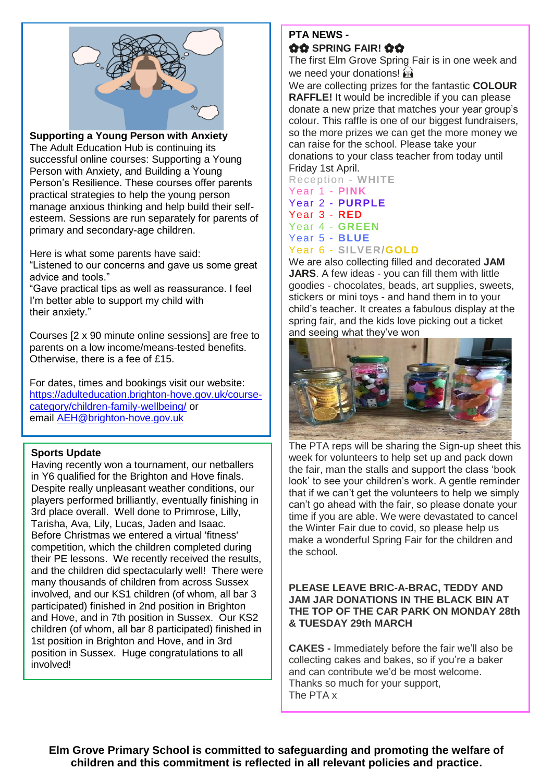

**Supporting a Young Person with Anxiety**

The Adult Education Hub is continuing its successful online courses: Supporting a Young Person with Anxiety, and Building a Young Person's Resilience. These courses offer parents practical strategies to help the young person manage anxious thinking and help build their selfesteem. Sessions are run separately for parents of primary and secondary-age children.

Here is what some parents have said:

"Listened to our concerns and gave us some great advice and tools."

"Gave practical tips as well as reassurance. I feel I'm better able to support my child with their anxiety."

Courses [2 x 90 minute online sessions] are free to parents on a low income/means-tested benefits. Otherwise, there is a fee of £15.

For dates, times and bookings visit our website: [https://adulteducation.brighton-hove.gov.uk/course](https://adulteducation.brighton-hove.gov.uk/course-category/children-family-wellbeing/)[category/children-family-wellbeing/](https://adulteducation.brighton-hove.gov.uk/course-category/children-family-wellbeing/) or email [AEH@brighton-hove.gov.uk](mailto:AEH@brighton-hove.gov.uk)

#### **Sports Update**

Having recently won a tournament, our netballers in Y6 qualified for the Brighton and Hove finals. Despite really unpleasant weather conditions, our players performed brilliantly, eventually finishing in 3rd place overall. Well done to Primrose, Lilly, Tarisha, Ava, Lily, Lucas, Jaden and Isaac. Before Christmas we entered a virtual 'fitness' competition, which the children completed during their PE lessons. We recently received the results, and the children did spectacularly well! There were many thousands of children from across Sussex involved, and our KS1 children (of whom, all bar 3 participated) finished in 2nd position in Brighton and Hove, and in 7th position in Sussex. Our KS2 children (of whom, all bar 8 participated) finished in 1st position in Brighton and Hove, and in 3rd position in Sussex. Huge congratulations to all involved!

# **PTA NEWS - OO SPRING FAIR! OO**

The first Elm Grove Spring Fair is in one week and we need your donations!  $\hat{M}$ 

We are collecting prizes for the fantastic **COLOUR RAFFLE!** It would be incredible if you can please donate a new prize that matches your year group's colour. This raffle is one of our biggest fundraisers, so the more prizes we can get the more money we can raise for the school. Please take your donations to your class teacher from today until Friday 1st April.

Reception - **WHITE**

Year 1 - **PINK** Year 2 - **PURPLE** Year 3 - **RED** Year 4 - **GREEN** Year 5 - **BLUE** Year 6 - **SILVER/GOLD**

We are also collecting filled and decorated **JAM JARS**. A few ideas - you can fill them with little goodies - chocolates, beads, art supplies, sweets, stickers or mini toys - and hand them in to your child's teacher. It creates a fabulous display at the spring fair, and the kids love picking out a ticket and seeing what they've won



The PTA reps will be sharing the Sign-up sheet this week for volunteers to help set up and pack down the fair, man the stalls and support the class 'book look' to see your children's work. A gentle reminder that if we can't get the volunteers to help we simply can't go ahead with the fair, so please donate your time if you are able. We were devastated to cancel the Winter Fair due to covid, so please help us make a wonderful Spring Fair for the children and the school.

#### **PLEASE LEAVE BRIC-A-BRAC, TEDDY AND JAM JAR DONATIONS IN THE BLACK BIN AT THE TOP OF THE CAR PARK ON MONDAY 28th & TUESDAY 29th MARCH**

**CAKES -** Immediately before the fair we'll also be collecting cakes and bakes, so if you're a baker and can contribute we'd be most welcome. Thanks so much for your support, The PTA x

**Elm Grove Primary School is committed to safeguarding and promoting the welfare of children and this commitment is reflected in all relevant policies and practice.**